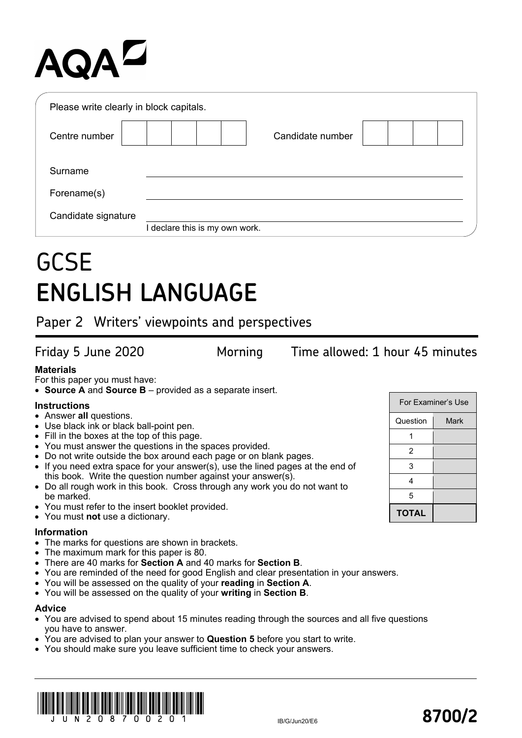# AQA<sup>D</sup>

| Please write clearly in block capitals. |                                |
|-----------------------------------------|--------------------------------|
| Centre number                           | Candidate number               |
| Surname                                 |                                |
| Forename(s)                             |                                |
| Candidate signature                     |                                |
|                                         | I declare this is my own work. |

# **GCSE ENGLISH LANGUAGE**

Paper 2 Writers' viewpoints and perspectives

Friday 5 June 2020 Morning Time allowed: 1 hour 45 minutes

**Materials**

- For this paper you must have:
- **Source A** and **Source B** provided as a separate insert.

## **Instructions**

- Answer **all** questions.
- Use black ink or black ball-point pen.
- Fill in the boxes at the top of this page.
- You must answer the questions in the spaces provided.
- Do not write outside the box around each page or on blank pages.
- If you need extra space for your answer(s), use the lined pages at the end of this book. Write the question number against your answer(s).
- Do all rough work in this book. Cross through any work you do not want to be marked.
- You must refer to the insert booklet provided.
- You must **not** use a dictionary.

### **Information**

- The marks for questions are shown in brackets.
- The maximum mark for this paper is 80.
- There are 40 marks for **Section A** and 40 marks for **Section B**.
- You are reminded of the need for good English and clear presentation in your answers.
- You will be assessed on the quality of your **reading** in **Section A**.
- You will be assessed on the quality of your **writing** in **Section B**.

### **Advice**

- You are advised to spend about 15 minutes reading through the sources and all five questions you have to answer.
- You are advised to plan your answer to **Question 5** before you start to write.
- You should make sure you leave sufficient time to check your answers.



| Question     | Mark |
|--------------|------|
|              |      |
| 2            |      |
| 3            |      |
| 4            |      |
| 5            |      |
| <b>TOTAL</b> |      |
|              |      |
|              |      |

For Examiner's Use

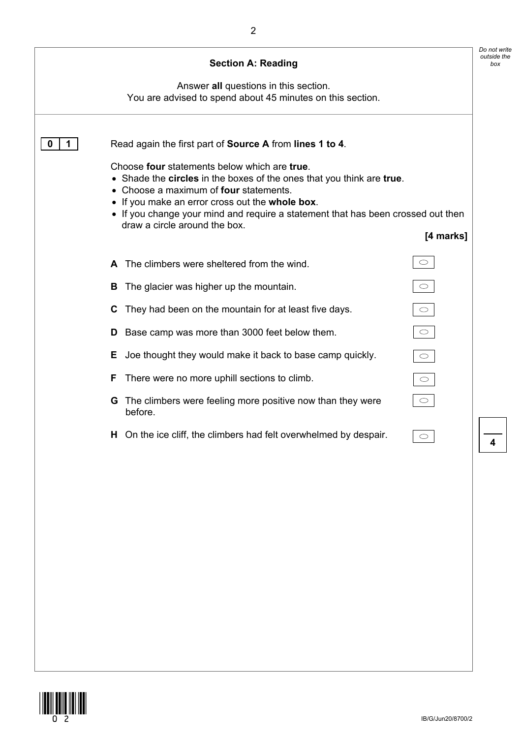|                  |                                                                                                                                                                                                                                                                                                                                                                                                        |                     | Do not write       |
|------------------|--------------------------------------------------------------------------------------------------------------------------------------------------------------------------------------------------------------------------------------------------------------------------------------------------------------------------------------------------------------------------------------------------------|---------------------|--------------------|
|                  | <b>Section A: Reading</b>                                                                                                                                                                                                                                                                                                                                                                              |                     | outside the<br>box |
|                  | Answer all questions in this section.<br>You are advised to spend about 45 minutes on this section.                                                                                                                                                                                                                                                                                                    |                     |                    |
| $\mathbf 1$<br>U | Read again the first part of Source A from lines 1 to 4.<br>Choose four statements below which are true.<br>• Shade the circles in the boxes of the ones that you think are true.<br>• Choose a maximum of four statements.<br>If you make an error cross out the whole box.<br>٠<br>• If you change your mind and require a statement that has been crossed out then<br>draw a circle around the box. |                     |                    |
|                  |                                                                                                                                                                                                                                                                                                                                                                                                        | [4 marks]           |                    |
|                  | The climbers were sheltered from the wind.<br>A                                                                                                                                                                                                                                                                                                                                                        | $\circ$             |                    |
|                  | The glacier was higher up the mountain.<br>В                                                                                                                                                                                                                                                                                                                                                           | $\circ$             |                    |
|                  | They had been on the mountain for at least five days.<br>C                                                                                                                                                                                                                                                                                                                                             | $\circ$             |                    |
|                  | Base camp was more than 3000 feet below them.<br>D                                                                                                                                                                                                                                                                                                                                                     | $\circlearrowright$ |                    |
|                  | Joe thought they would make it back to base camp quickly.<br>Е                                                                                                                                                                                                                                                                                                                                         | $\circlearrowright$ |                    |
|                  | F<br>There were no more uphill sections to climb.                                                                                                                                                                                                                                                                                                                                                      | $\bigcirc$          |                    |
|                  | The climbers were feeling more positive now than they were<br>G<br>before.                                                                                                                                                                                                                                                                                                                             | $\circ$             |                    |
|                  | On the ice cliff, the climbers had felt overwhelmed by despair.<br>H.                                                                                                                                                                                                                                                                                                                                  |                     |                    |
|                  |                                                                                                                                                                                                                                                                                                                                                                                                        |                     |                    |
|                  |                                                                                                                                                                                                                                                                                                                                                                                                        |                     |                    |
|                  |                                                                                                                                                                                                                                                                                                                                                                                                        |                     |                    |
|                  |                                                                                                                                                                                                                                                                                                                                                                                                        |                     |                    |
|                  |                                                                                                                                                                                                                                                                                                                                                                                                        |                     |                    |
|                  |                                                                                                                                                                                                                                                                                                                                                                                                        |                     |                    |

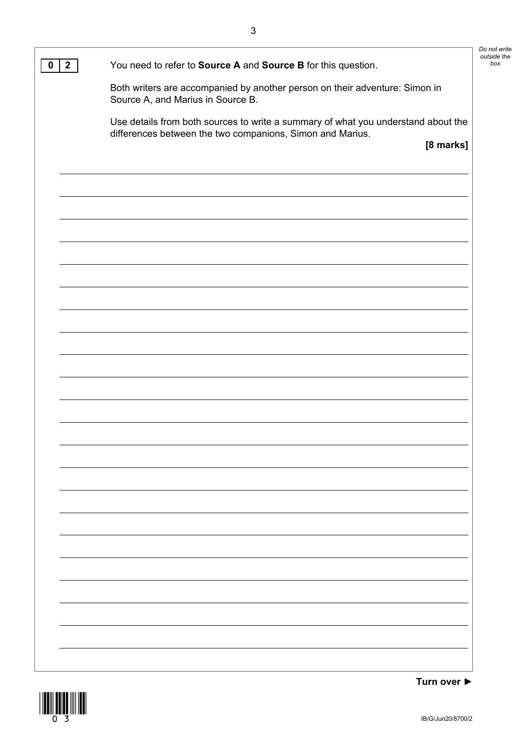| $\mathbf{2}$ | You need to refer to Source A and Source B for this question.                                                                                               | Do not write<br>outside the<br>box |
|--------------|-------------------------------------------------------------------------------------------------------------------------------------------------------------|------------------------------------|
|              | Both writers are accompanied by another person on their adventure: Simon in<br>Source A, and Marius in Source B.                                            |                                    |
|              | Use details from both sources to write a summary of what you understand about the<br>differences between the two companions, Simon and Marius.<br>[8 marks] |                                    |
|              |                                                                                                                                                             |                                    |
|              |                                                                                                                                                             |                                    |
|              |                                                                                                                                                             |                                    |
|              |                                                                                                                                                             |                                    |
|              |                                                                                                                                                             |                                    |
|              |                                                                                                                                                             |                                    |
|              |                                                                                                                                                             |                                    |
|              |                                                                                                                                                             |                                    |
|              |                                                                                                                                                             |                                    |
|              |                                                                                                                                                             |                                    |
|              |                                                                                                                                                             |                                    |
|              |                                                                                                                                                             |                                    |
|              |                                                                                                                                                             |                                    |
|              |                                                                                                                                                             |                                    |
|              |                                                                                                                                                             |                                    |
|              |                                                                                                                                                             |                                    |



**Turn over ►**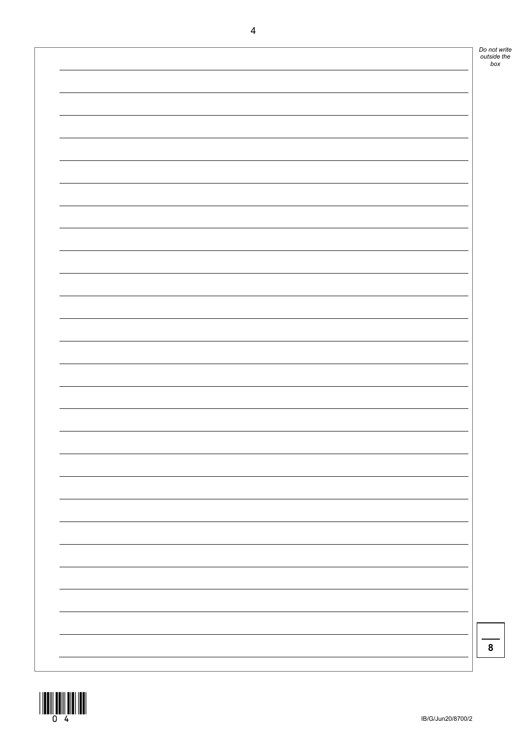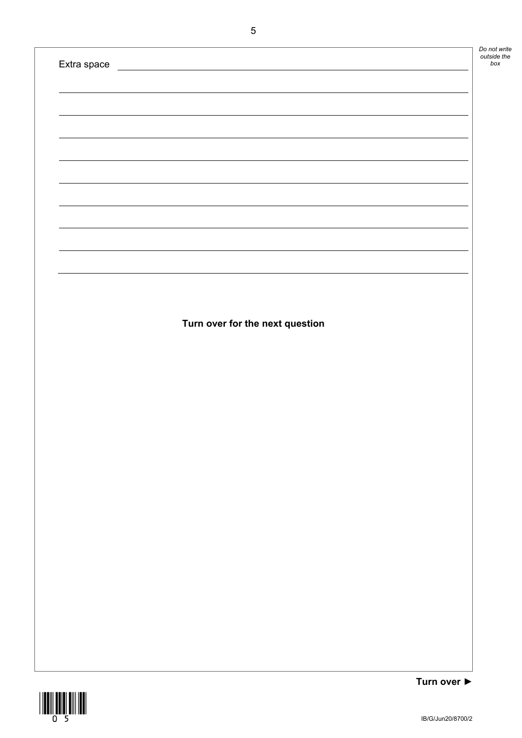| Extra space | <u> 1980 - Johann Barn, mars ann an t-Amhain Aonaich an t-Aonaich an t-Aonaich ann an t-Aonaich ann an t-Aonaich</u> |  |
|-------------|----------------------------------------------------------------------------------------------------------------------|--|
|             |                                                                                                                      |  |
|             |                                                                                                                      |  |
|             |                                                                                                                      |  |
|             |                                                                                                                      |  |
|             |                                                                                                                      |  |
|             |                                                                                                                      |  |
|             |                                                                                                                      |  |
|             |                                                                                                                      |  |
|             |                                                                                                                      |  |
|             |                                                                                                                      |  |
|             |                                                                                                                      |  |
|             |                                                                                                                      |  |
|             | Turn over for the next question                                                                                      |  |
|             |                                                                                                                      |  |
|             |                                                                                                                      |  |
|             |                                                                                                                      |  |
|             |                                                                                                                      |  |
|             |                                                                                                                      |  |
|             |                                                                                                                      |  |
|             |                                                                                                                      |  |
|             |                                                                                                                      |  |
|             |                                                                                                                      |  |
|             |                                                                                                                      |  |
|             |                                                                                                                      |  |
|             |                                                                                                                      |  |
|             |                                                                                                                      |  |
|             |                                                                                                                      |  |
|             |                                                                                                                      |  |
|             |                                                                                                                      |  |



**Turn over ►**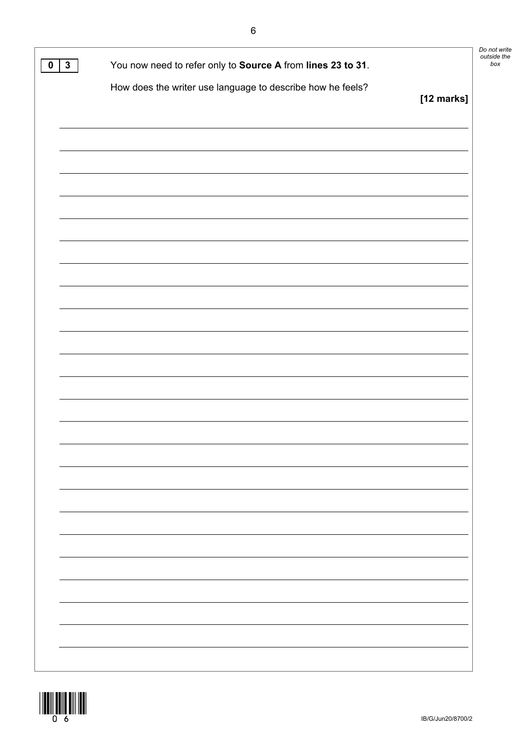| You now need to refer only to Source A from lines 23 to 31. |            |
|-------------------------------------------------------------|------------|
| How does the writer use language to describe how he feels?  | [12 marks] |
|                                                             |            |
|                                                             |            |
|                                                             |            |
|                                                             |            |
|                                                             |            |
|                                                             |            |
|                                                             |            |
|                                                             |            |
|                                                             |            |
|                                                             |            |
|                                                             |            |
|                                                             |            |
|                                                             |            |
|                                                             |            |
|                                                             |            |
|                                                             |            |
|                                                             |            |
|                                                             |            |
|                                                             |            |
|                                                             |            |
|                                                             |            |
|                                                             |            |

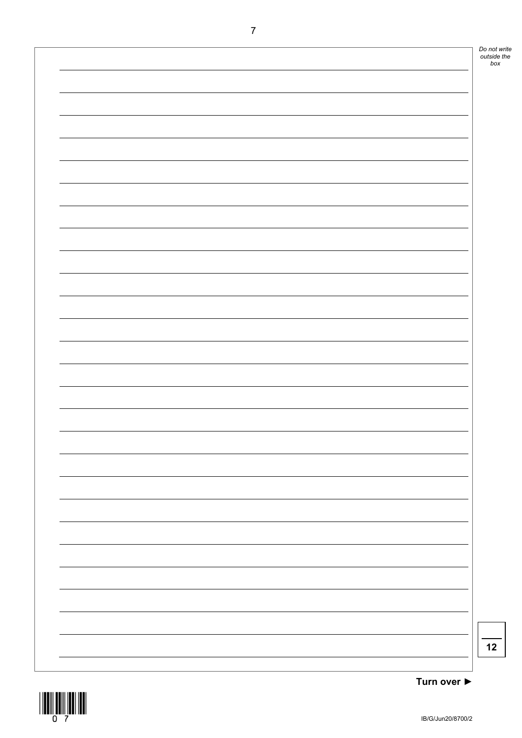

**12**

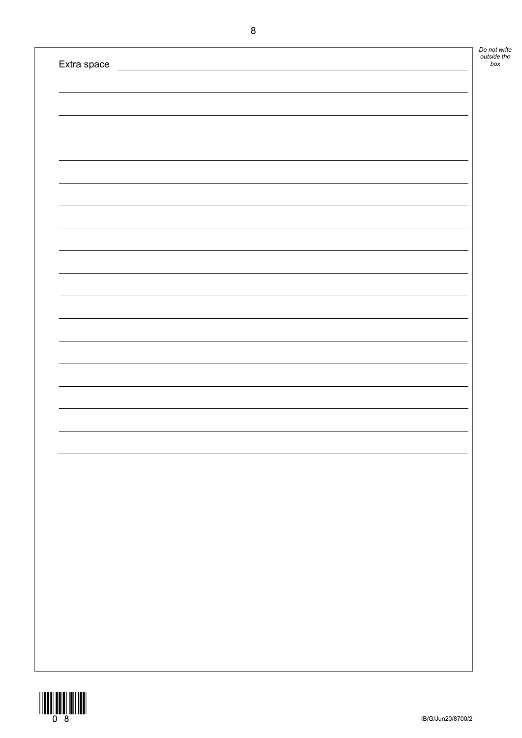| Do not write<br>outside the<br>hox |
|------------------------------------|
|                                    |

| Extra space |  |  |  |
|-------------|--|--|--|
|             |  |  |  |
|             |  |  |  |
|             |  |  |  |
|             |  |  |  |
|             |  |  |  |
|             |  |  |  |
|             |  |  |  |
|             |  |  |  |
|             |  |  |  |
|             |  |  |  |
|             |  |  |  |
|             |  |  |  |
|             |  |  |  |
|             |  |  |  |
|             |  |  |  |
|             |  |  |  |
|             |  |  |  |
|             |  |  |  |
|             |  |  |  |
|             |  |  |  |
|             |  |  |  |
|             |  |  |  |
|             |  |  |  |
|             |  |  |  |
|             |  |  |  |
|             |  |  |  |
|             |  |  |  |
|             |  |  |  |
|             |  |  |  |
|             |  |  |  |
|             |  |  |  |
|             |  |  |  |
|             |  |  |  |
|             |  |  |  |
|             |  |  |  |
|             |  |  |  |
|             |  |  |  |
|             |  |  |  |
|             |  |  |  |

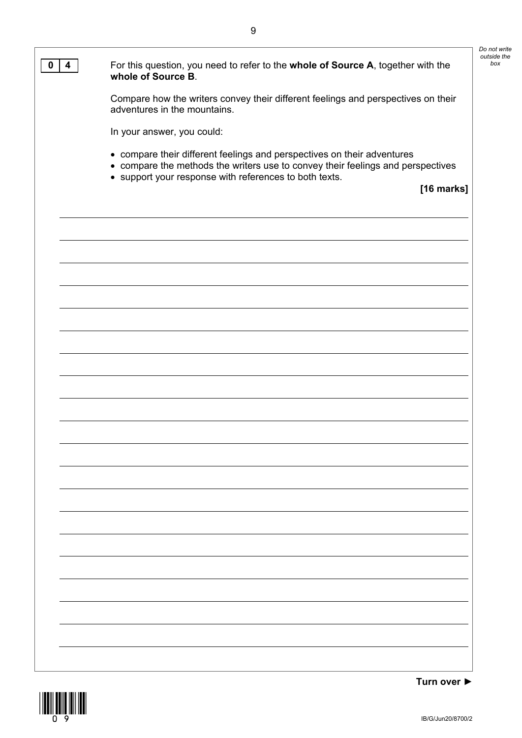|   |   |                                                                                                                                                                                                                      | Do not write       |
|---|---|----------------------------------------------------------------------------------------------------------------------------------------------------------------------------------------------------------------------|--------------------|
| o | 4 | For this question, you need to refer to the whole of Source A, together with the<br>whole of Source B.                                                                                                               | outside the<br>box |
|   |   | Compare how the writers convey their different feelings and perspectives on their<br>adventures in the mountains.                                                                                                    |                    |
|   |   | In your answer, you could:                                                                                                                                                                                           |                    |
|   |   | • compare their different feelings and perspectives on their adventures<br>• compare the methods the writers use to convey their feelings and perspectives<br>• support your response with references to both texts. |                    |
|   |   | [16 marks]                                                                                                                                                                                                           |                    |
|   |   |                                                                                                                                                                                                                      |                    |
|   |   |                                                                                                                                                                                                                      |                    |
|   |   |                                                                                                                                                                                                                      |                    |
|   |   |                                                                                                                                                                                                                      |                    |
|   |   |                                                                                                                                                                                                                      |                    |
|   |   |                                                                                                                                                                                                                      |                    |
|   |   |                                                                                                                                                                                                                      |                    |
|   |   |                                                                                                                                                                                                                      |                    |
|   |   |                                                                                                                                                                                                                      |                    |
|   |   |                                                                                                                                                                                                                      |                    |
|   |   |                                                                                                                                                                                                                      |                    |
|   |   |                                                                                                                                                                                                                      |                    |
|   |   |                                                                                                                                                                                                                      |                    |
|   |   |                                                                                                                                                                                                                      |                    |
|   |   |                                                                                                                                                                                                                      |                    |
|   |   |                                                                                                                                                                                                                      |                    |
|   |   |                                                                                                                                                                                                                      |                    |
|   |   |                                                                                                                                                                                                                      |                    |
|   |   |                                                                                                                                                                                                                      |                    |



 $\mathbb{L}$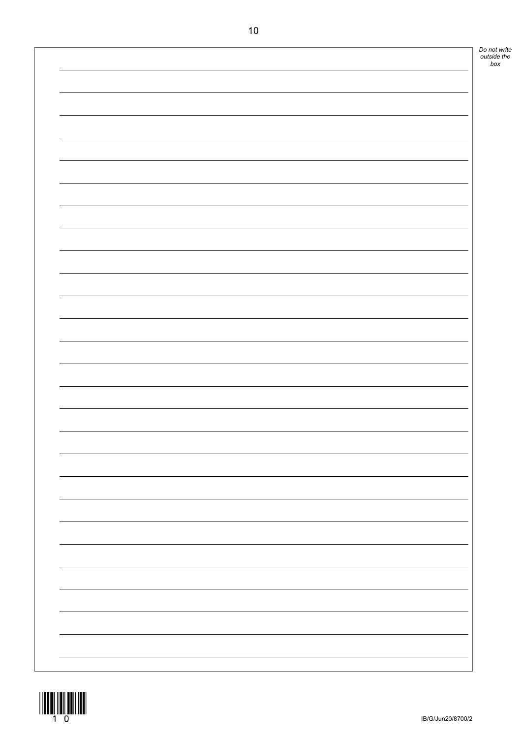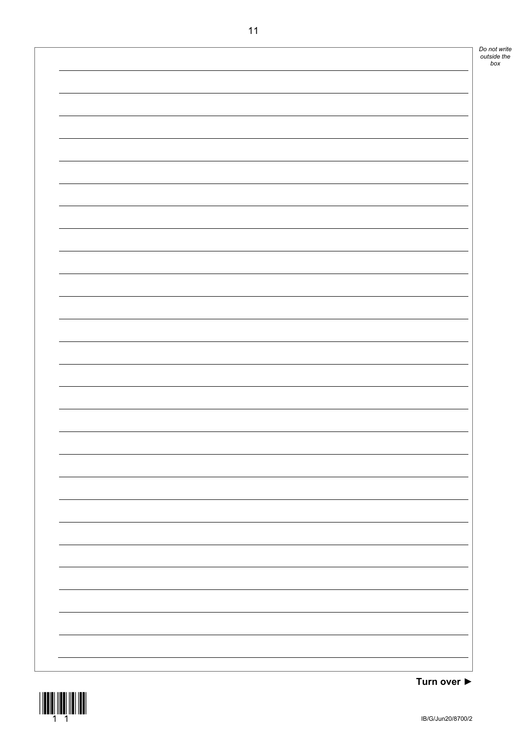

**Turn over ►**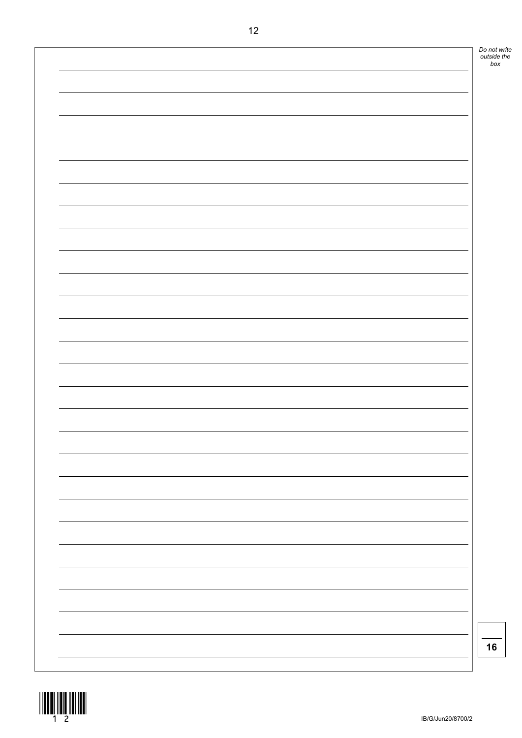

16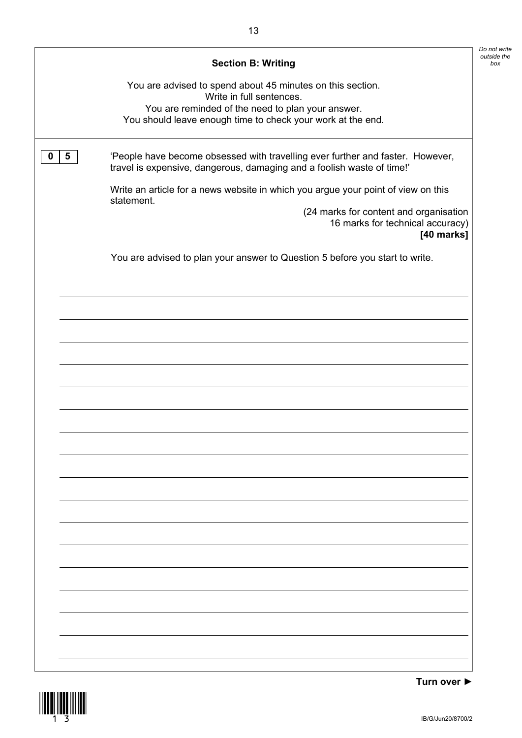|                         | <b>Section B: Writing</b>                                                                                                                                |
|-------------------------|----------------------------------------------------------------------------------------------------------------------------------------------------------|
|                         | You are advised to spend about 45 minutes on this section.                                                                                               |
|                         | Write in full sentences.                                                                                                                                 |
|                         | You are reminded of the need to plan your answer.                                                                                                        |
|                         | You should leave enough time to check your work at the end.                                                                                              |
|                         |                                                                                                                                                          |
| $\overline{\mathbf{5}}$ | 'People have become obsessed with travelling ever further and faster. However,<br>travel is expensive, dangerous, damaging and a foolish waste of time!' |
|                         | Write an article for a news website in which you argue your point of view on this<br>statement.                                                          |
|                         | (24 marks for content and organisation                                                                                                                   |
|                         | 16 marks for technical accuracy)                                                                                                                         |
|                         | [40 marks]                                                                                                                                               |
|                         | You are advised to plan your answer to Question 5 before you start to write.                                                                             |
|                         |                                                                                                                                                          |
|                         |                                                                                                                                                          |
|                         |                                                                                                                                                          |
|                         |                                                                                                                                                          |
|                         |                                                                                                                                                          |
|                         |                                                                                                                                                          |
|                         |                                                                                                                                                          |
|                         |                                                                                                                                                          |
|                         |                                                                                                                                                          |
|                         |                                                                                                                                                          |
|                         |                                                                                                                                                          |
|                         |                                                                                                                                                          |
|                         |                                                                                                                                                          |
|                         |                                                                                                                                                          |
|                         |                                                                                                                                                          |
|                         |                                                                                                                                                          |
|                         |                                                                                                                                                          |
|                         |                                                                                                                                                          |
|                         |                                                                                                                                                          |
|                         |                                                                                                                                                          |
|                         |                                                                                                                                                          |
|                         |                                                                                                                                                          |

\*13\*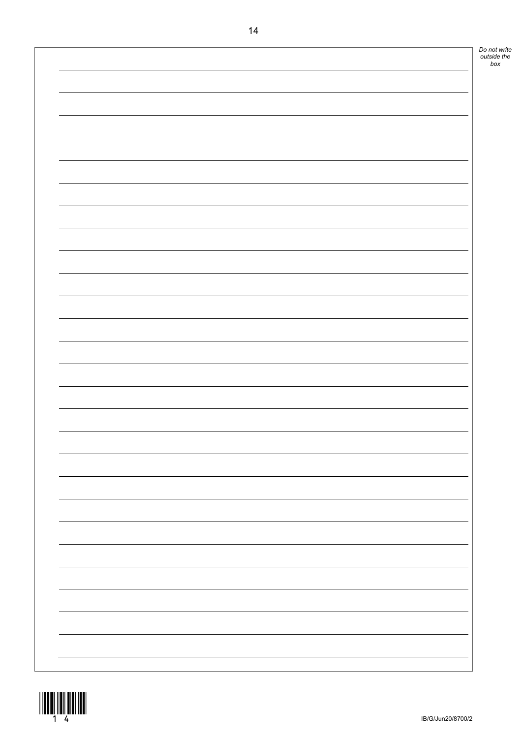

 $\mathbb{L}$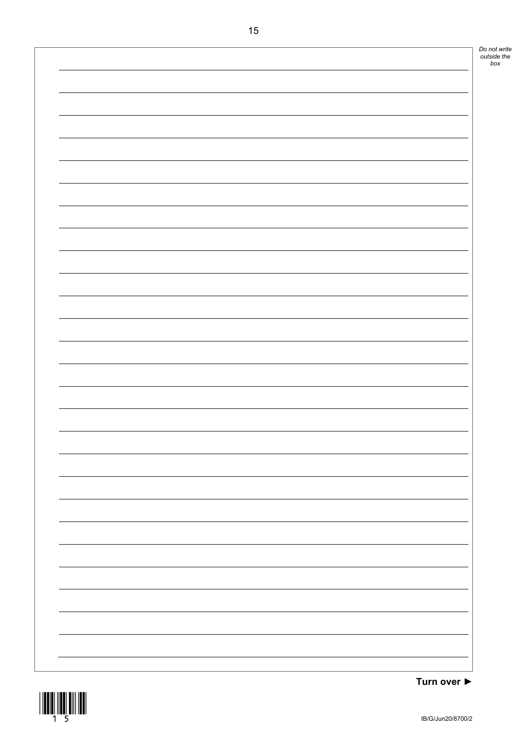**Turn over ►**



IB/G/Jun20/8700/2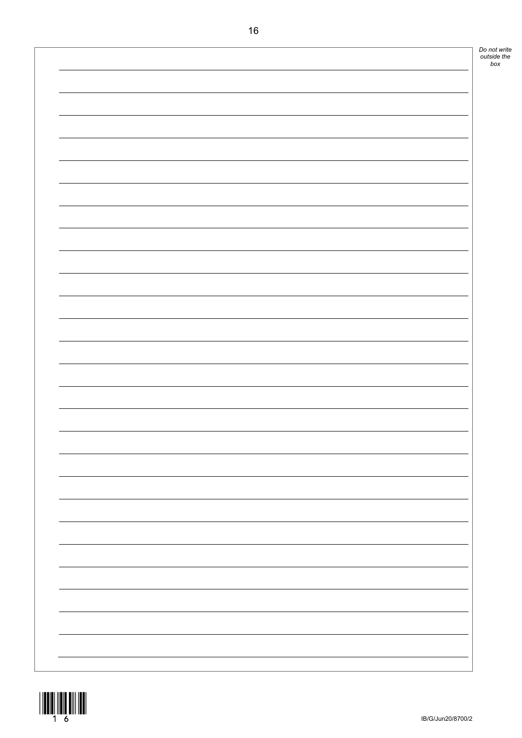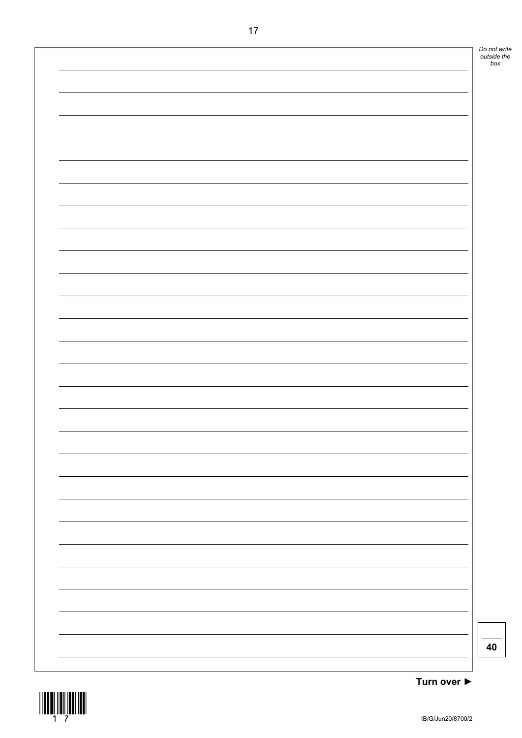**40**

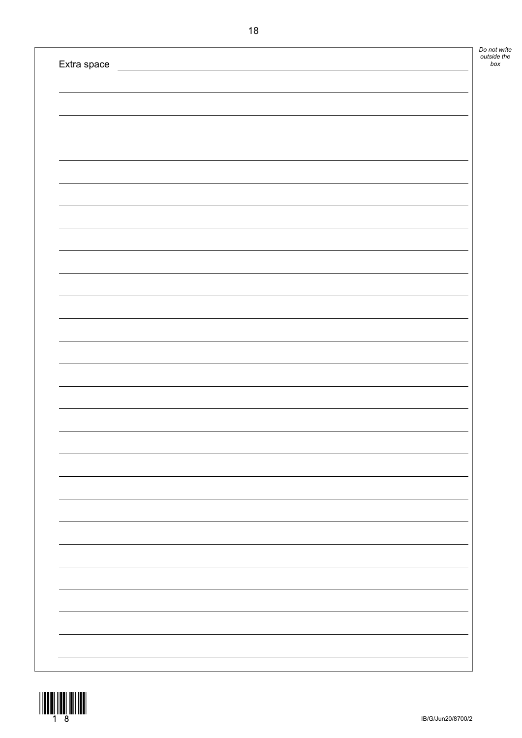| Extra space<br><u> 1980 - Johann Barn, mars an t-Amerikaansk politiker (</u> | Do not write<br>outside the<br>box |
|------------------------------------------------------------------------------|------------------------------------|
|                                                                              |                                    |
|                                                                              |                                    |
|                                                                              |                                    |
|                                                                              |                                    |
|                                                                              |                                    |
|                                                                              |                                    |
|                                                                              |                                    |
|                                                                              |                                    |
|                                                                              |                                    |
|                                                                              |                                    |
|                                                                              |                                    |
|                                                                              |                                    |
|                                                                              |                                    |
|                                                                              |                                    |
|                                                                              |                                    |
|                                                                              |                                    |
|                                                                              |                                    |
|                                                                              |                                    |
|                                                                              |                                    |
|                                                                              |                                    |
|                                                                              |                                    |
|                                                                              |                                    |
|                                                                              |                                    |
|                                                                              |                                    |
|                                                                              |                                    |
|                                                                              |                                    |

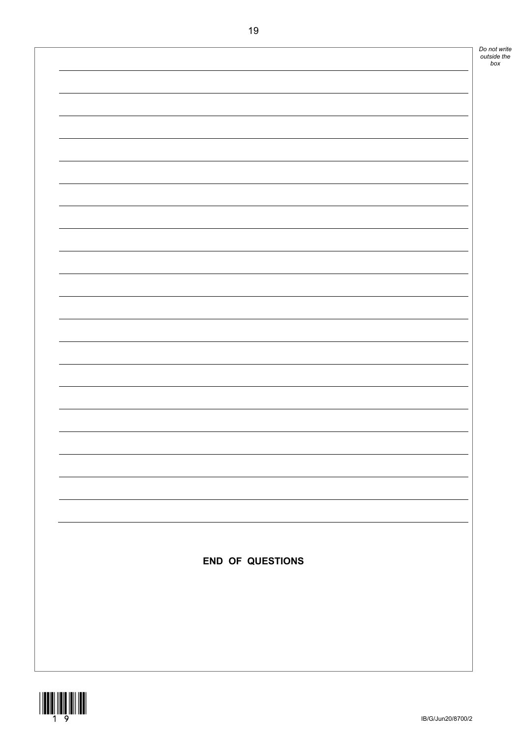| <b>END OF QUESTIONS</b> |
|-------------------------|
|                         |
|                         |
|                         |
|                         |
|                         |
|                         |
|                         |
|                         |
|                         |
|                         |

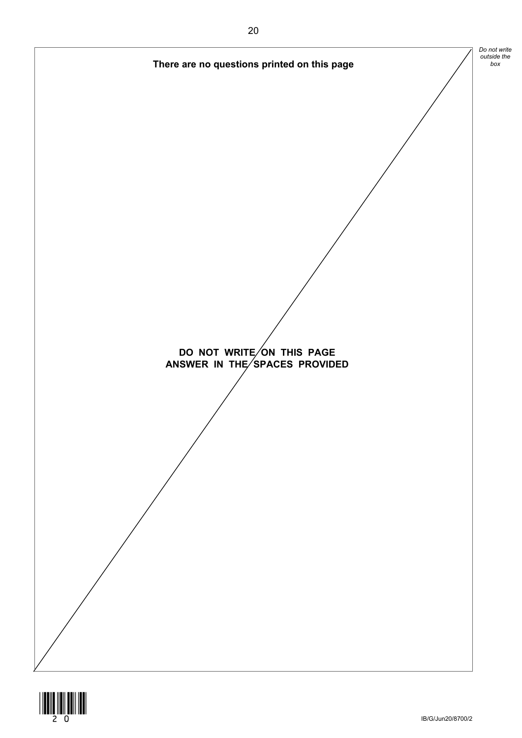

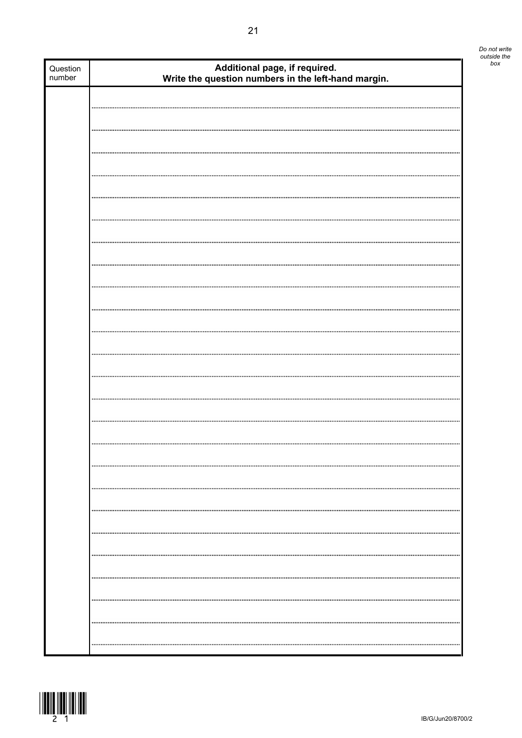| Question<br>number | Additional page, if required.<br>Write the question numbers in the left-hand margin. |  |
|--------------------|--------------------------------------------------------------------------------------|--|
|                    |                                                                                      |  |
|                    |                                                                                      |  |
|                    |                                                                                      |  |
|                    |                                                                                      |  |
|                    |                                                                                      |  |
|                    |                                                                                      |  |
|                    |                                                                                      |  |
|                    |                                                                                      |  |
|                    |                                                                                      |  |
|                    |                                                                                      |  |
|                    |                                                                                      |  |
|                    |                                                                                      |  |
|                    |                                                                                      |  |
|                    |                                                                                      |  |
|                    |                                                                                      |  |
|                    |                                                                                      |  |
|                    |                                                                                      |  |
|                    |                                                                                      |  |
|                    |                                                                                      |  |
|                    |                                                                                      |  |
|                    |                                                                                      |  |
|                    |                                                                                      |  |
|                    |                                                                                      |  |
|                    |                                                                                      |  |
|                    |                                                                                      |  |
|                    |                                                                                      |  |
|                    |                                                                                      |  |
|                    |                                                                                      |  |
|                    |                                                                                      |  |
|                    |                                                                                      |  |
|                    |                                                                                      |  |
|                    |                                                                                      |  |
|                    |                                                                                      |  |
|                    |                                                                                      |  |
|                    |                                                                                      |  |
|                    |                                                                                      |  |
|                    |                                                                                      |  |

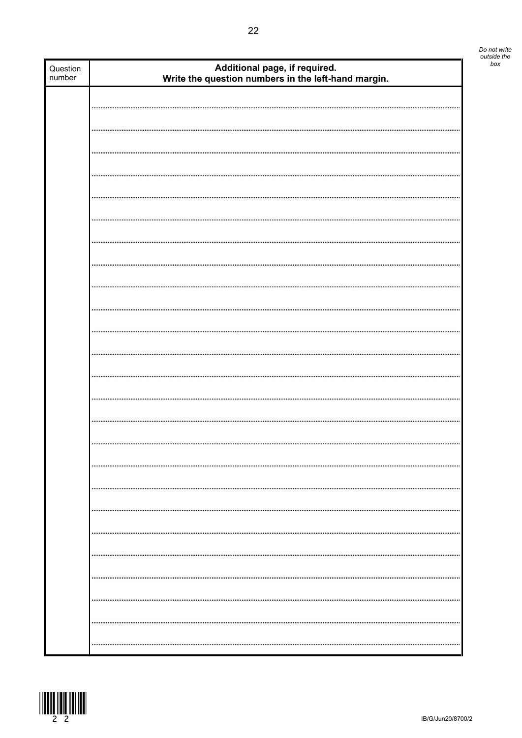| Question<br>number | Additional page, if required.<br>Write the question numbers in the left-hand margin. |  |
|--------------------|--------------------------------------------------------------------------------------|--|
|                    |                                                                                      |  |
|                    |                                                                                      |  |
|                    |                                                                                      |  |
|                    |                                                                                      |  |
|                    |                                                                                      |  |
|                    |                                                                                      |  |
|                    |                                                                                      |  |
|                    |                                                                                      |  |
|                    |                                                                                      |  |
|                    |                                                                                      |  |
|                    |                                                                                      |  |
|                    |                                                                                      |  |
|                    |                                                                                      |  |
|                    |                                                                                      |  |
|                    |                                                                                      |  |
|                    |                                                                                      |  |
|                    |                                                                                      |  |
|                    |                                                                                      |  |
|                    |                                                                                      |  |
|                    |                                                                                      |  |
|                    |                                                                                      |  |
|                    |                                                                                      |  |
|                    |                                                                                      |  |
|                    |                                                                                      |  |
|                    |                                                                                      |  |
|                    |                                                                                      |  |
|                    |                                                                                      |  |
|                    |                                                                                      |  |
|                    |                                                                                      |  |
|                    |                                                                                      |  |
|                    |                                                                                      |  |
|                    |                                                                                      |  |
|                    |                                                                                      |  |
|                    |                                                                                      |  |

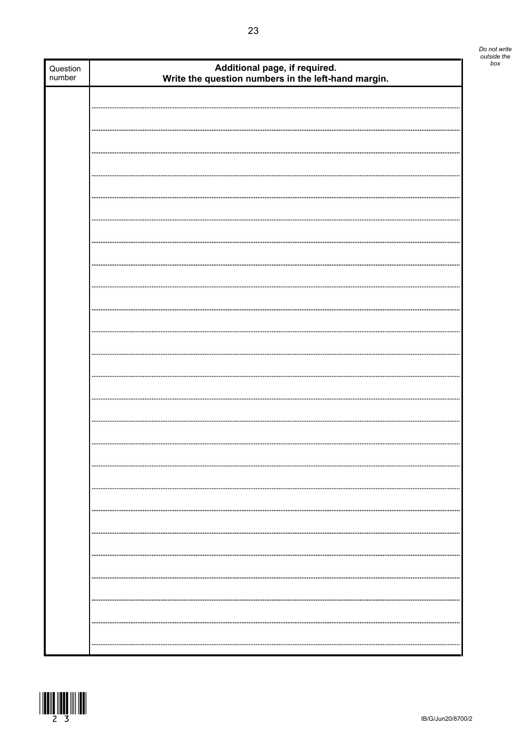| Question<br>number | Additional page, if required.<br>Write the question numbers in the left-hand margin. |  |
|--------------------|--------------------------------------------------------------------------------------|--|
|                    |                                                                                      |  |
|                    |                                                                                      |  |
|                    |                                                                                      |  |
|                    |                                                                                      |  |
|                    |                                                                                      |  |
|                    |                                                                                      |  |
|                    |                                                                                      |  |
|                    |                                                                                      |  |
|                    |                                                                                      |  |
|                    |                                                                                      |  |
|                    |                                                                                      |  |
|                    |                                                                                      |  |
|                    |                                                                                      |  |
|                    |                                                                                      |  |
|                    |                                                                                      |  |
|                    |                                                                                      |  |
|                    |                                                                                      |  |
|                    |                                                                                      |  |
|                    |                                                                                      |  |
|                    |                                                                                      |  |
|                    |                                                                                      |  |
|                    |                                                                                      |  |
|                    |                                                                                      |  |
|                    |                                                                                      |  |
|                    |                                                                                      |  |
|                    |                                                                                      |  |
|                    |                                                                                      |  |
|                    |                                                                                      |  |
|                    |                                                                                      |  |
|                    |                                                                                      |  |
|                    |                                                                                      |  |
|                    |                                                                                      |  |